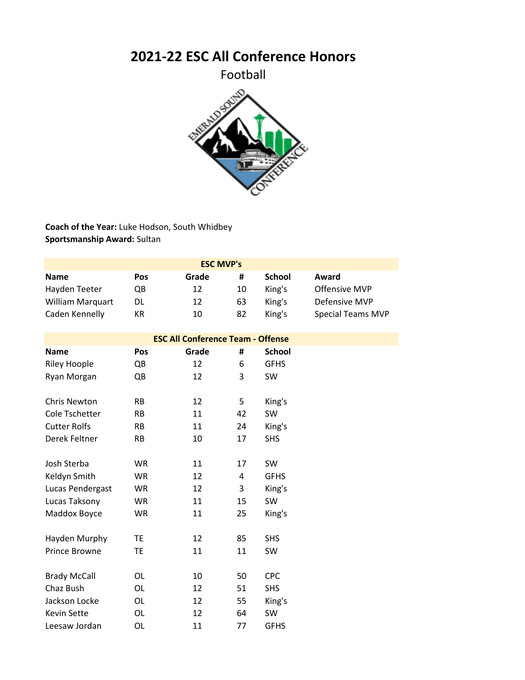**2021-22 ESC All Conference Honors**

Football



**Coach of the Year:** Luke Hodson, South Whidbey **Sportsmanship Award:** Sultan

|                         |     | <b>ESC MVP's</b> |    |               |                          |
|-------------------------|-----|------------------|----|---------------|--------------------------|
| <b>Name</b>             | Pos | Grade            | #  | <b>School</b> | Award                    |
| Hayden Teeter           | QB  | 12               | 10 | King's        | Offensive MVP            |
| <b>William Marquart</b> | DL  | 12               | 63 | King's        | Defensive MVP            |
| Caden Kennelly          | КR  | 10               | 82 | King's        | <b>Special Teams MVP</b> |

| <b>ESC All Conference Team - Offense</b> |           |       |    |               |
|------------------------------------------|-----------|-------|----|---------------|
| <b>Name</b>                              | Pos       | Grade | #  | <b>School</b> |
| <b>Riley Hoople</b>                      | QB        | 12    | 6  | <b>GFHS</b>   |
| Ryan Morgan                              | QB        | 12    | 3  | <b>SW</b>     |
|                                          |           |       |    |               |
| <b>Chris Newton</b>                      | <b>RB</b> | 12    | 5  | King's        |
| Cole Tschetter                           | <b>RB</b> | 11    | 42 | SW            |
| <b>Cutter Rolfs</b>                      | RB.       | 11    | 24 | King's        |
| Derek Feltner                            | <b>RB</b> | 10    | 17 | <b>SHS</b>    |
| Josh Sterba                              | <b>WR</b> | 11    | 17 | <b>SW</b>     |
| Keldyn Smith                             | WR        | 12    | 4  | <b>GFHS</b>   |
| Lucas Pendergast                         | WR        | 12    | 3  | King's        |
| Lucas Taksony                            | WR        | 11    | 15 | SW            |
| Maddox Boyce                             | WR        | 11    | 25 | King's        |
| Hayden Murphy                            | <b>TE</b> | 12    | 85 | <b>SHS</b>    |
| <b>Prince Browne</b>                     | ТE        | 11    | 11 | SW            |
|                                          |           |       |    |               |
| <b>Brady McCall</b>                      | OL        | 10    | 50 | <b>CPC</b>    |
| Chaz Bush                                | 0L        | 12    | 51 | <b>SHS</b>    |
| Jackson Locke                            | OL        | 12    | 55 | King's        |
| <b>Kevin Sette</b>                       | OL        | 12    | 64 | SW            |
| Leesaw Jordan                            | OL        | 11    | 77 | <b>GFHS</b>   |